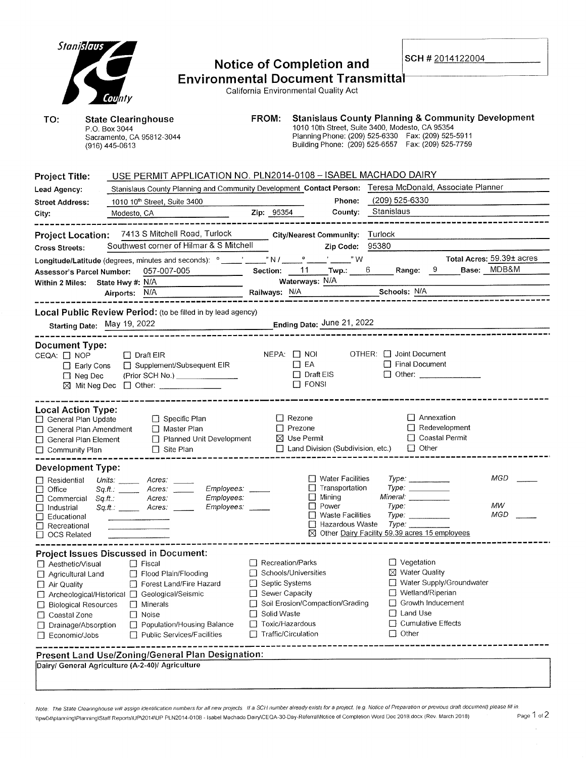| Stanislaus<br>County<br>TO:<br><b>State Clearinghouse</b><br>P.O. Box 3044<br>Sacramento, CA 95812-3044<br>$(916)$ 445-0613                                                                                                                                                                                                                                                                                                                                                                        | <b>Notice of Completion and</b><br><b>Environmental Document Transmittal</b><br>California Environmental Quality Act<br>FROM:<br>1010 10th Street, Suite 3400, Modesto, CA 95354<br>Planning Phone: (209) 525-6330  Fax: (209) 525-5911<br>Building Phone: (209) 525-6557  Fax: (209) 525-7759 | SCH # 2014122004<br><b>Stanislaus County Planning &amp; Community Development</b>                                                                                                            |
|----------------------------------------------------------------------------------------------------------------------------------------------------------------------------------------------------------------------------------------------------------------------------------------------------------------------------------------------------------------------------------------------------------------------------------------------------------------------------------------------------|------------------------------------------------------------------------------------------------------------------------------------------------------------------------------------------------------------------------------------------------------------------------------------------------|----------------------------------------------------------------------------------------------------------------------------------------------------------------------------------------------|
| <b>Project Title:</b><br>Lead Agency:<br>1010 10th Street, Suite 3400<br><b>Street Address:</b><br>Modesto, CA<br>City:<br>Project Location: 7413 S Mitchell Road, Turlock City/Nearest Community: Turlock                                                                                                                                                                                                                                                                                         | USE PERMIT APPLICATION NO. PLN2014-0108 - ISABEL MACHADO DAIRY<br>Stanislaus County Planning and Community Development Contact Person: Teresa McDonald, Associate Planner<br>Phone:<br>Zip: 95354<br>County: Stanislaus                                                                        | (209) 525-6330                                                                                                                                                                               |
| Southwest corner of Hilmar & S Mitchell<br><b>Cross Streets:</b><br>Longitude/Latitude (degrees, minutes and seconds): ° ____' ____" N / ____° ____' ____" W<br>057-007-005<br>Assessor's Parcel Number:<br>Within 2 Miles: State Hwy #: N/A<br>Airports: N/A                                                                                                                                                                                                                                      | Zip Code: 95380<br>Section: $11$ Twp.: 6 Range: $9$<br>Waterways: N/A<br>Railways: N/A Schools: N/A                                                                                                                                                                                            | Total Acres: 59.39± acres<br>Base: MDB&M                                                                                                                                                     |
| Local Public Review Period: (to be filled in by lead agency)<br>Ending Date: June 21, 2022<br>Starting Date: May 19, 2022                                                                                                                                                                                                                                                                                                                                                                          |                                                                                                                                                                                                                                                                                                |                                                                                                                                                                                              |
| <b>Document Type:</b><br>CEQA: □ NOP<br>$\Box$ Draft EIR<br>□ Early Cons □ Supplement/Subsequent EIR<br>(Prior SCH No.) ________________<br>$\Box$ Neg Dec<br>⊠ Mit Neg Dec □ Other: ___________                                                                                                                                                                                                                                                                                                   | NEPA: I NOI OTHER: I Joint Document<br>$\Box$ EA<br>$\Box$ Draft EIS<br>$\Box$ FONSI                                                                                                                                                                                                           | $\Box$ Final Document                                                                                                                                                                        |
| <b>Local Action Type:</b><br>$\Box$ Specific Plan<br>General Plan Update<br>□ General Plan Amendment<br>Master Plan<br>□ Planned Unit Development<br>□ General Plan Element<br>$\Box$ Site Plan<br>□ Community Plan                                                                                                                                                                                                                                                                                | $\Box$ Rezone<br>$\Box$ Prezone<br>$\boxtimes$ Use Permit<br>$\Box$ Land Division (Subdivision, etc.)                                                                                                                                                                                          | $\Box$ Annexation<br>$\Box$ Redevelopment<br>□ Coastal Permit<br>$\Box$ Other                                                                                                                |
| <b>Development Type:</b><br>$\Box$ Residential<br>Units: <b>Minutes</b><br>Acres:<br><i>Employees:</i><br>Office<br>Sq.H.:<br>Acres:<br>Employees:<br>Acres:<br>Commercial<br>Sq.H.<br>Employees:<br>Acres:<br>Industrial<br>Sa.ft.: ______<br>Educational<br>□ Recreational<br>$\Box$ OCS Related                                                                                                                                                                                                 | <b>Water Facilities</b><br>Transportation<br>$\Box$ Mining<br>Mineral:<br>$\Box$ Power<br>□ Waste Facilities<br>Hazardous Waste<br>⊠ Other Dairy Facility 59.39 acres 15 employees                                                                                                             | MGD<br>Type:<br>$Type: \_\_$<br>MW<br>Type:<br>MGD<br>Type:<br>Type:                                                                                                                         |
| <b>Project Issues Discussed in Document:</b><br>□ Aesthetic/Visual<br>$\Box$ Fiscal<br>Flood Plain/Flooding<br>Agricultural Land<br>Forest Land/Fire Hazard<br>$\Box$ Air Quality<br>□ Archeological/Historical □ Geological/Seismic<br>$\Box$ Minerals<br><b>Biological Resources</b><br>$\Box$ Noise<br>Coastal Zone<br>$\Box$<br>Population/Housing Balance<br>□ Drainage/Absorption<br>$\Box$ Public Services/Facilities<br>Economic/Jobs<br>Present Land Use/Zoning/General Plan Designation: | Recreation/Parks<br>□ Schools/Universities<br>□ Septic Systems<br>Sewer Capacity<br>□ Soil Erosion/Compaction/Grading<br>Solid Waste<br>□ Toxic/Hazardous<br>Traffic/Circulation                                                                                                               | $\Box$ Vegetation<br>$\boxtimes$ Water Quality<br>□ Water Supply/Groundwater<br>$\Box$ Wetland/Riperian<br>$\Box$ Growth Inducement<br>$\Box$ Land Use<br>$\Box$ Cumulative Effects<br>Other |
| Dairy/ General Agriculture (A-2-40)/ Agriculture                                                                                                                                                                                                                                                                                                                                                                                                                                                   |                                                                                                                                                                                                                                                                                                |                                                                                                                                                                                              |

Note: The State Clearinghouse will assign identification numbers for all new projects. If a SCH number already exists for a project. (e.g. Notice of Preparation or previous draft document) please fill in. Npw04\planning\Planning\Staff Reports\UP\2014\UP PLN2014-0108 - Isabel Machado Dairy\CEQA-30-Day-ReferralNotice of Completion Word Doc 2018.docx (Rev. March 2018)